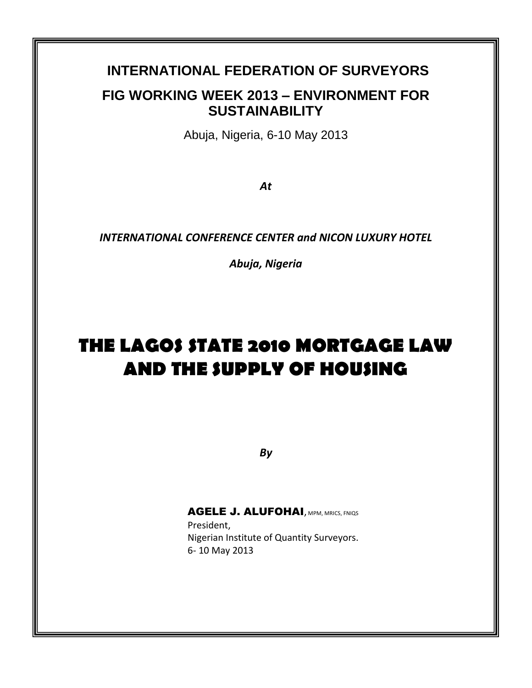# **INTERNATIONAL FEDERATION OF SURVEYORS FIG WORKING WEEK 2013 – ENVIRONMENT FOR SUSTAINABILITY**

Abuja, Nigeria, 6-10 May 2013

*At*

*INTERNATIONAL CONFERENCE CENTER and NICON LUXURY HOTEL*

*Abuja, Nigeria*

# **THE LAGOS STATE 2010 MORTGAGE LAW AND THE SUPPLY OF HOUSING**

*By*

# AGELE J. ALUFOHAI, MPM, MRICS, FNIQS

President, Nigerian Institute of Quantity Surveyors. 6- 10 May 2013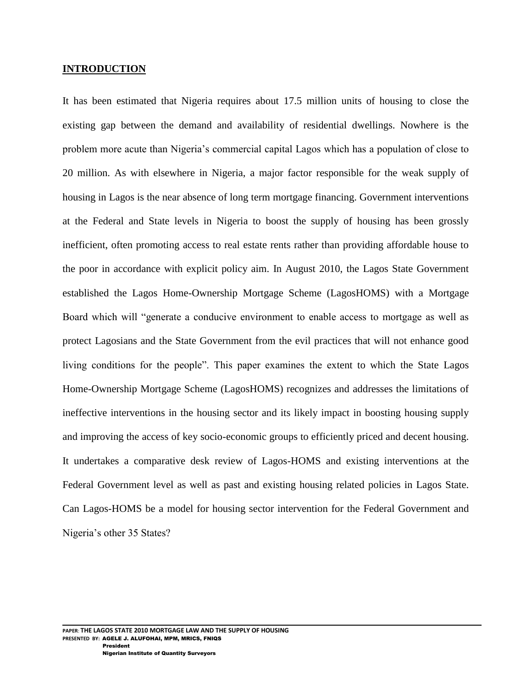### **INTRODUCTION**

It has been estimated that Nigeria requires about 17.5 million units of housing to close the existing gap between the demand and availability of residential dwellings. Nowhere is the problem more acute than Nigeria"s commercial capital Lagos which has a population of close to 20 million. As with elsewhere in Nigeria, a major factor responsible for the weak supply of housing in Lagos is the near absence of long term mortgage financing. Government interventions at the Federal and State levels in Nigeria to boost the supply of housing has been grossly inefficient, often promoting access to real estate rents rather than providing affordable house to the poor in accordance with explicit policy aim. In August 2010, the Lagos State Government established the Lagos Home-Ownership Mortgage Scheme (LagosHOMS) with a Mortgage Board which will "generate a conducive environment to enable access to mortgage as well as protect Lagosians and the State Government from the evil practices that will not enhance good living conditions for the people". This paper examines the extent to which the State Lagos Home-Ownership Mortgage Scheme (LagosHOMS) recognizes and addresses the limitations of ineffective interventions in the housing sector and its likely impact in boosting housing supply and improving the access of key socio-economic groups to efficiently priced and decent housing. It undertakes a comparative desk review of Lagos-HOMS and existing interventions at the Federal Government level as well as past and existing housing related policies in Lagos State. Can Lagos-HOMS be a model for housing sector intervention for the Federal Government and Nigeria's other 35 States?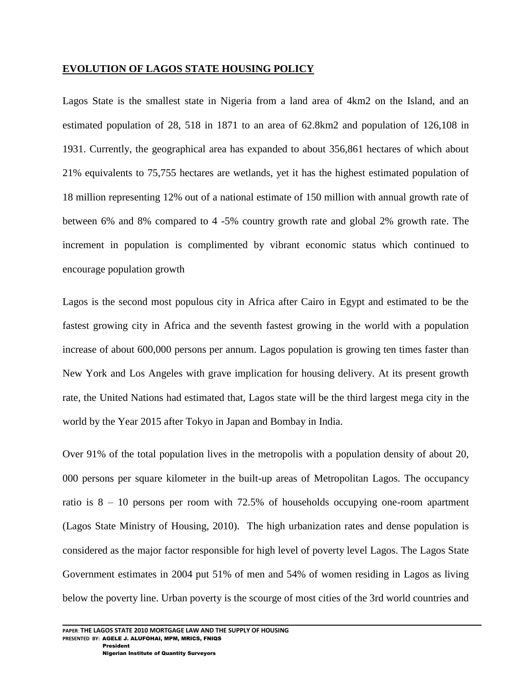### **EVOLUTION OF LAGOS STATE HOUSING POLICY**

Lagos State is the smallest state in Nigeria from a land area of 4km2 on the Island, and an estimated population of 28, 518 in 1871 to an area of 62.8km2 and population of 126,108 in 1931. Currently, the geographical area has expanded to about 356,861 hectares of which about 21% equivalents to 75,755 hectares are wetlands, yet it has the highest estimated population of 18 million representing 12% out of a national estimate of 150 million with annual growth rate of between 6% and 8% compared to 4 -5% country growth rate and global 2% growth rate. The increment in population is complimented by vibrant economic status which continued to encourage population growth

Lagos is the second most populous city in Africa after Cairo in Egypt and estimated to be the fastest growing city in Africa and the seventh fastest growing in the world with a population increase of about 600,000 persons per annum. Lagos population is growing ten times faster than New York and Los Angeles with grave implication for housing delivery. At its present growth rate, the United Nations had estimated that, Lagos state will be the third largest mega city in the world by the Year 2015 after Tokyo in Japan and Bombay in India.

Over 91% of the total population lives in the metropolis with a population density of about 20, 000 persons per square kilometer in the built-up areas of Metropolitan Lagos. The occupancy ratio is  $8 - 10$  persons per room with 72.5% of households occupying one-room apartment (Lagos State Ministry of Housing, 2010). The high urbanization rates and dense population is considered as the major factor responsible for high level of poverty level Lagos. The Lagos State Government estimates in 2004 put 51% of men and 54% of women residing in Lagos as living below the poverty line. Urban poverty is the scourge of most cities of the 3rd world countries and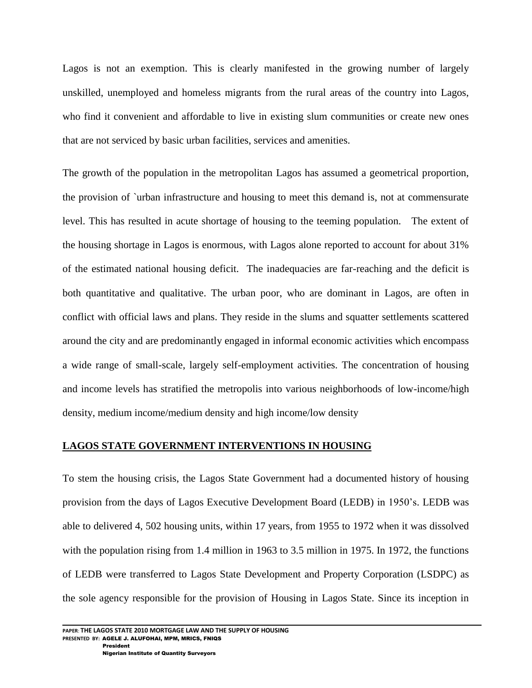Lagos is not an exemption. This is clearly manifested in the growing number of largely unskilled, unemployed and homeless migrants from the rural areas of the country into Lagos, who find it convenient and affordable to live in existing slum communities or create new ones that are not serviced by basic urban facilities, services and amenities.

The growth of the population in the metropolitan Lagos has assumed a geometrical proportion, the provision of `urban infrastructure and housing to meet this demand is, not at commensurate level. This has resulted in acute shortage of housing to the teeming population. The extent of the housing shortage in Lagos is enormous, with Lagos alone reported to account for about 31% of the estimated national housing deficit. The inadequacies are far-reaching and the deficit is both quantitative and qualitative. The urban poor, who are dominant in Lagos, are often in conflict with official laws and plans. They reside in the slums and squatter settlements scattered around the city and are predominantly engaged in informal economic activities which encompass a wide range of small-scale, largely self-employment activities. The concentration of housing and income levels has stratified the metropolis into various neighborhoods of low-income/high density, medium income/medium density and high income/low density

# **LAGOS STATE GOVERNMENT INTERVENTIONS IN HOUSING**

To stem the housing crisis, the Lagos State Government had a documented history of housing provision from the days of Lagos Executive Development Board (LEDB) in 1950"s. LEDB was able to delivered 4, 502 housing units, within 17 years, from 1955 to 1972 when it was dissolved with the population rising from 1.4 million in 1963 to 3.5 million in 1975. In 1972, the functions of LEDB were transferred to Lagos State Development and Property Corporation (LSDPC) as the sole agency responsible for the provision of Housing in Lagos State. Since its inception in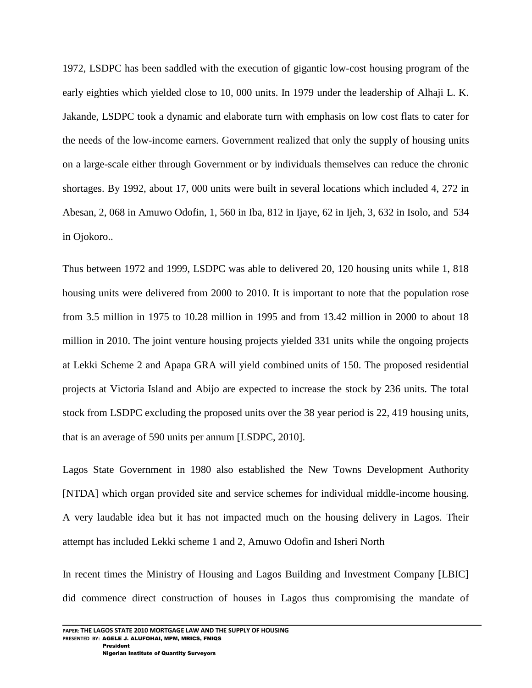1972, LSDPC has been saddled with the execution of gigantic low-cost housing program of the early eighties which yielded close to 10, 000 units. In 1979 under the leadership of Alhaji L. K. Jakande, LSDPC took a dynamic and elaborate turn with emphasis on low cost flats to cater for the needs of the low-income earners. Government realized that only the supply of housing units on a large-scale either through Government or by individuals themselves can reduce the chronic shortages. By 1992, about 17, 000 units were built in several locations which included 4, 272 in Abesan, 2, 068 in Amuwo Odofin, 1, 560 in Iba, 812 in Ijaye, 62 in Ijeh, 3, 632 in Isolo, and 534 in Ojokoro..

Thus between 1972 and 1999, LSDPC was able to delivered 20, 120 housing units while 1, 818 housing units were delivered from 2000 to 2010. It is important to note that the population rose from 3.5 million in 1975 to 10.28 million in 1995 and from 13.42 million in 2000 to about 18 million in 2010. The joint venture housing projects yielded 331 units while the ongoing projects at Lekki Scheme 2 and Apapa GRA will yield combined units of 150. The proposed residential projects at Victoria Island and Abijo are expected to increase the stock by 236 units. The total stock from LSDPC excluding the proposed units over the 38 year period is 22, 419 housing units, that is an average of 590 units per annum [LSDPC, 2010].

Lagos State Government in 1980 also established the New Towns Development Authority [NTDA] which organ provided site and service schemes for individual middle-income housing. A very laudable idea but it has not impacted much on the housing delivery in Lagos. Their attempt has included Lekki scheme 1 and 2, Amuwo Odofin and Isheri North

In recent times the Ministry of Housing and Lagos Building and Investment Company [LBIC] did commence direct construction of houses in Lagos thus compromising the mandate of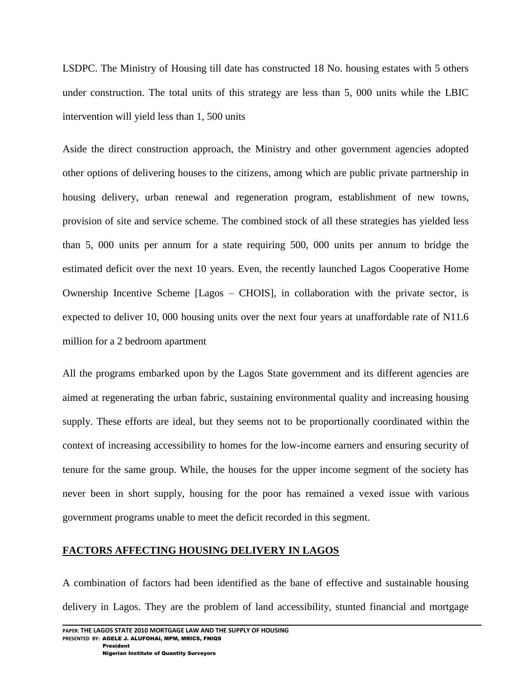LSDPC. The Ministry of Housing till date has constructed 18 No. housing estates with 5 others under construction. The total units of this strategy are less than 5, 000 units while the LBIC intervention will yield less than 1, 500 units

Aside the direct construction approach, the Ministry and other government agencies adopted other options of delivering houses to the citizens, among which are public private partnership in housing delivery, urban renewal and regeneration program, establishment of new towns, provision of site and service scheme. The combined stock of all these strategies has yielded less than 5, 000 units per annum for a state requiring 500, 000 units per annum to bridge the estimated deficit over the next 10 years. Even, the recently launched Lagos Cooperative Home Ownership Incentive Scheme [Lagos – CHOIS], in collaboration with the private sector, is expected to deliver 10, 000 housing units over the next four years at unaffordable rate of N11.6 million for a 2 bedroom apartment

All the programs embarked upon by the Lagos State government and its different agencies are aimed at regenerating the urban fabric, sustaining environmental quality and increasing housing supply. These efforts are ideal, but they seems not to be proportionally coordinated within the context of increasing accessibility to homes for the low-income earners and ensuring security of tenure for the same group. While, the houses for the upper income segment of the society has never been in short supply, housing for the poor has remained a vexed issue with various government programs unable to meet the deficit recorded in this segment.

# **FACTORS AFFECTING HOUSING DELIVERY IN LAGOS**

A combination of factors had been identified as the bane of effective and sustainable housing delivery in Lagos. They are the problem of land accessibility, stunted financial and mortgage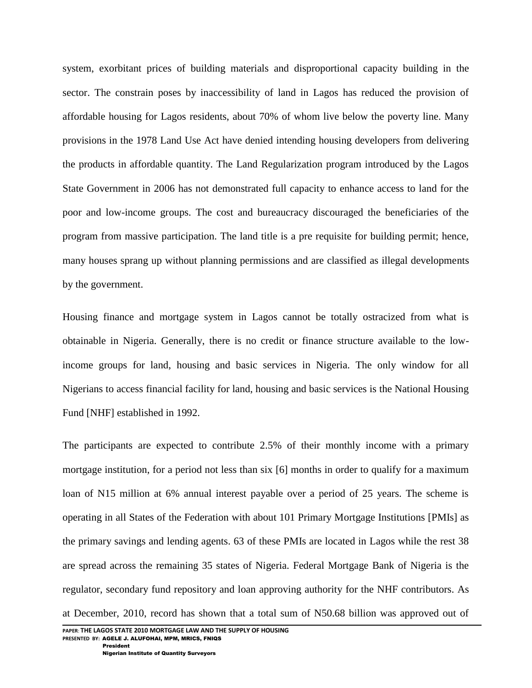system, exorbitant prices of building materials and disproportional capacity building in the sector. The constrain poses by inaccessibility of land in Lagos has reduced the provision of affordable housing for Lagos residents, about 70% of whom live below the poverty line. Many provisions in the 1978 Land Use Act have denied intending housing developers from delivering the products in affordable quantity. The Land Regularization program introduced by the Lagos State Government in 2006 has not demonstrated full capacity to enhance access to land for the poor and low-income groups. The cost and bureaucracy discouraged the beneficiaries of the program from massive participation. The land title is a pre requisite for building permit; hence, many houses sprang up without planning permissions and are classified as illegal developments by the government.

Housing finance and mortgage system in Lagos cannot be totally ostracized from what is obtainable in Nigeria. Generally, there is no credit or finance structure available to the lowincome groups for land, housing and basic services in Nigeria. The only window for all Nigerians to access financial facility for land, housing and basic services is the National Housing Fund [NHF] established in 1992.

The participants are expected to contribute 2.5% of their monthly income with a primary mortgage institution, for a period not less than six [6] months in order to qualify for a maximum loan of N15 million at 6% annual interest payable over a period of 25 years. The scheme is operating in all States of the Federation with about 101 Primary Mortgage Institutions [PMIs] as the primary savings and lending agents. 63 of these PMIs are located in Lagos while the rest 38 are spread across the remaining 35 states of Nigeria. Federal Mortgage Bank of Nigeria is the regulator, secondary fund repository and loan approving authority for the NHF contributors. As at December, 2010, record has shown that a total sum of N50.68 billion was approved out of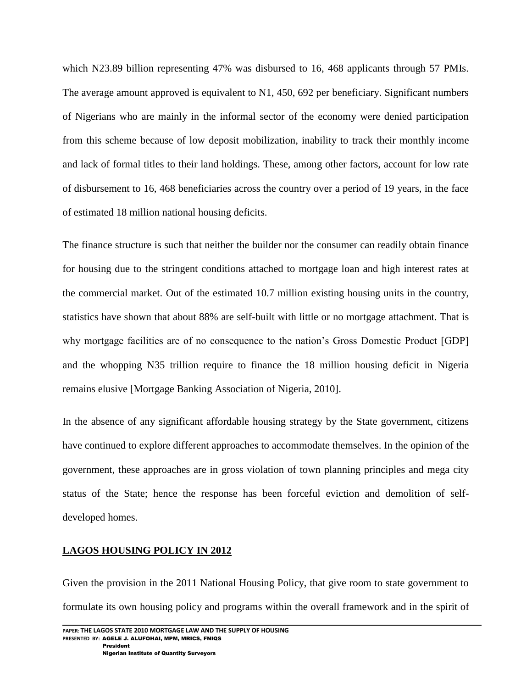which N23.89 billion representing 47% was disbursed to 16, 468 applicants through 57 PMIs. The average amount approved is equivalent to N1, 450, 692 per beneficiary. Significant numbers of Nigerians who are mainly in the informal sector of the economy were denied participation from this scheme because of low deposit mobilization, inability to track their monthly income and lack of formal titles to their land holdings. These, among other factors, account for low rate of disbursement to 16, 468 beneficiaries across the country over a period of 19 years, in the face of estimated 18 million national housing deficits.

The finance structure is such that neither the builder nor the consumer can readily obtain finance for housing due to the stringent conditions attached to mortgage loan and high interest rates at the commercial market. Out of the estimated 10.7 million existing housing units in the country, statistics have shown that about 88% are self-built with little or no mortgage attachment. That is why mortgage facilities are of no consequence to the nation"s Gross Domestic Product [GDP] and the whopping N35 trillion require to finance the 18 million housing deficit in Nigeria remains elusive [Mortgage Banking Association of Nigeria, 2010].

In the absence of any significant affordable housing strategy by the State government, citizens have continued to explore different approaches to accommodate themselves. In the opinion of the government, these approaches are in gross violation of town planning principles and mega city status of the State; hence the response has been forceful eviction and demolition of selfdeveloped homes.

# **LAGOS HOUSING POLICY IN 2012**

Given the provision in the 2011 National Housing Policy, that give room to state government to formulate its own housing policy and programs within the overall framework and in the spirit of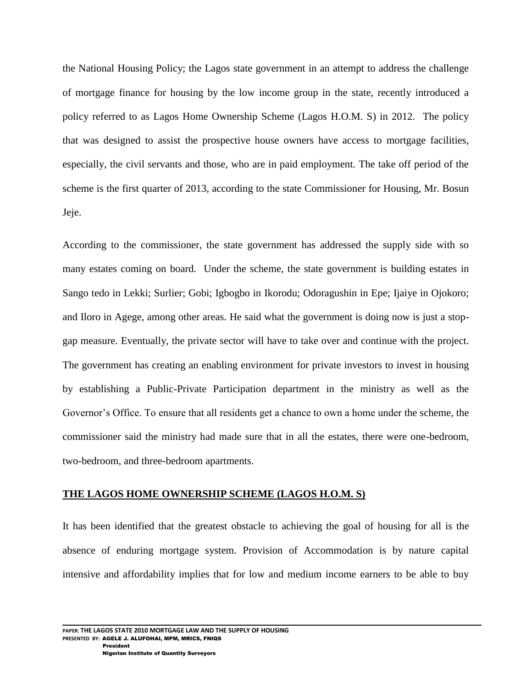the National Housing Policy; the Lagos state government in an attempt to address the challenge of mortgage finance for housing by the low income group in the state, recently introduced a policy referred to as Lagos Home Ownership Scheme (Lagos H.O.M. S) in 2012. The policy that was designed to assist the prospective house owners have access to mortgage facilities, especially, the civil servants and those, who are in paid employment. The take off period of the scheme is the first quarter of 2013, according to the state Commissioner for Housing, Mr. Bosun Jeje.

According to the commissioner, the state government has addressed the supply side with so many estates coming on board. Under the scheme, the state government is building estates in Sango tedo in Lekki; Surlier; Gobi; Igbogbo in Ikorodu; Odoragushin in Epe; Ijaiye in Ojokoro; and Iloro in Agege, among other areas. He said what the government is doing now is just a stopgap measure. Eventually, the private sector will have to take over and continue with the project. The government has creating an enabling environment for private investors to invest in housing by establishing a Public-Private Participation department in the ministry as well as the Governor's Office. To ensure that all residents get a chance to own a home under the scheme, the commissioner said the ministry had made sure that in all the estates, there were one-bedroom, two-bedroom, and three-bedroom apartments.

### **THE LAGOS HOME OWNERSHIP SCHEME (LAGOS H.O.M. S)**

It has been identified that the greatest obstacle to achieving the goal of housing for all is the absence of enduring mortgage system. Provision of Accommodation is by nature capital intensive and affordability implies that for low and medium income earners to be able to buy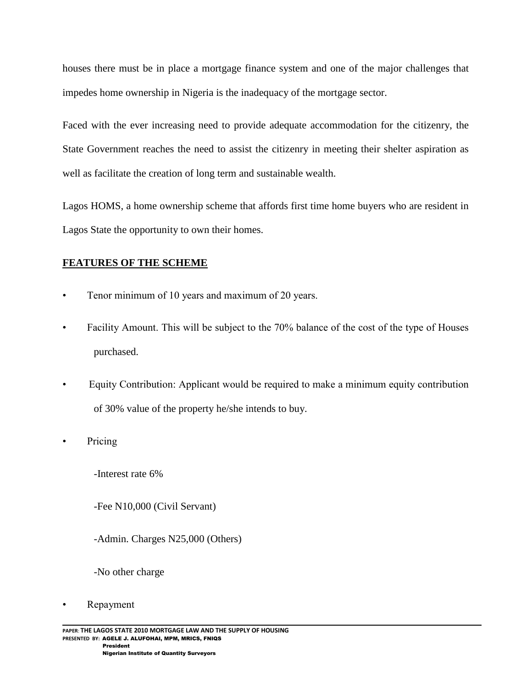houses there must be in place a mortgage finance system and one of the major challenges that impedes home ownership in Nigeria is the inadequacy of the mortgage sector.

Faced with the ever increasing need to provide adequate accommodation for the citizenry, the State Government reaches the need to assist the citizenry in meeting their shelter aspiration as well as facilitate the creation of long term and sustainable wealth.

Lagos HOMS, a home ownership scheme that affords first time home buyers who are resident in Lagos State the opportunity to own their homes.

# **FEATURES OF THE SCHEME**

- Tenor minimum of 10 years and maximum of 20 years.
- Facility Amount. This will be subject to the 70% balance of the cost of the type of Houses purchased.
- Equity Contribution: Applicant would be required to make a minimum equity contribution of 30% value of the property he/she intends to buy.
- Pricing
	- -Interest rate 6%
	- -Fee N10,000 (Civil Servant)
	- -Admin. Charges N25,000 (Others)
	- -No other charge
- Repayment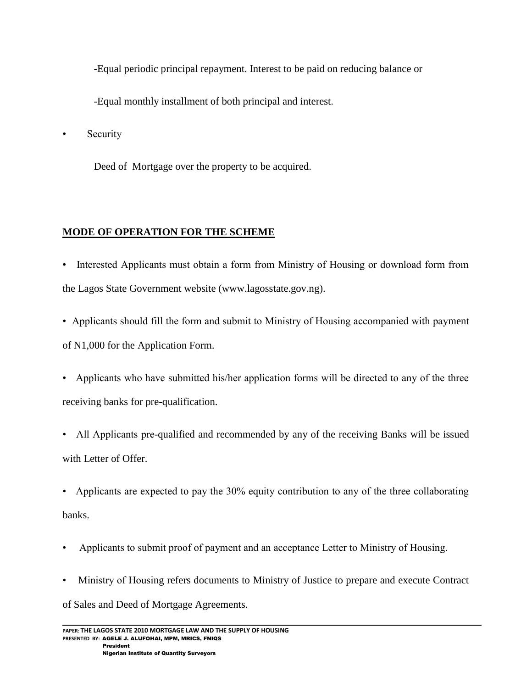-Equal periodic principal repayment. Interest to be paid on reducing balance or

-Equal monthly installment of both principal and interest.

• Security

Deed of Mortgage over the property to be acquired.

# **MODE OF OPERATION FOR THE SCHEME**

- Interested Applicants must obtain a form from Ministry of Housing or download form from the Lagos State Government website (www.lagosstate.gov.ng).
- Applicants should fill the form and submit to Ministry of Housing accompanied with payment of N1,000 for the Application Form.
- Applicants who have submitted his/her application forms will be directed to any of the three receiving banks for pre-qualification.
- All Applicants pre-qualified and recommended by any of the receiving Banks will be issued with Letter of Offer.
- Applicants are expected to pay the 30% equity contribution to any of the three collaborating banks.
- Applicants to submit proof of payment and an acceptance Letter to Ministry of Housing.
- Ministry of Housing refers documents to Ministry of Justice to prepare and execute Contract of Sales and Deed of Mortgage Agreements.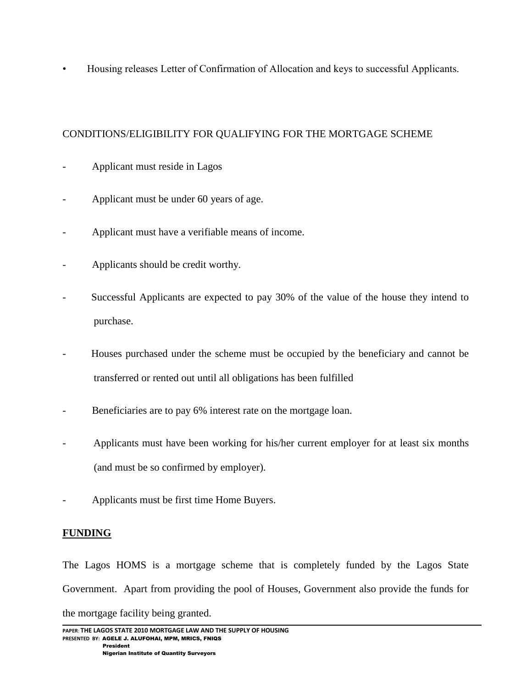• Housing releases Letter of Confirmation of Allocation and keys to successful Applicants.

# CONDITIONS/ELIGIBILITY FOR QUALIFYING FOR THE MORTGAGE SCHEME

- Applicant must reside in Lagos
- Applicant must be under 60 years of age.
- Applicant must have a verifiable means of income.
- Applicants should be credit worthy.
- Successful Applicants are expected to pay 30% of the value of the house they intend to purchase.
- Houses purchased under the scheme must be occupied by the beneficiary and cannot be transferred or rented out until all obligations has been fulfilled
- Beneficiaries are to pay 6% interest rate on the mortgage loan.
- Applicants must have been working for his/her current employer for at least six months (and must be so confirmed by employer).
- Applicants must be first time Home Buyers.

# **FUNDING**

The Lagos HOMS is a mortgage scheme that is completely funded by the Lagos State Government. Apart from providing the pool of Houses, Government also provide the funds for the mortgage facility being granted.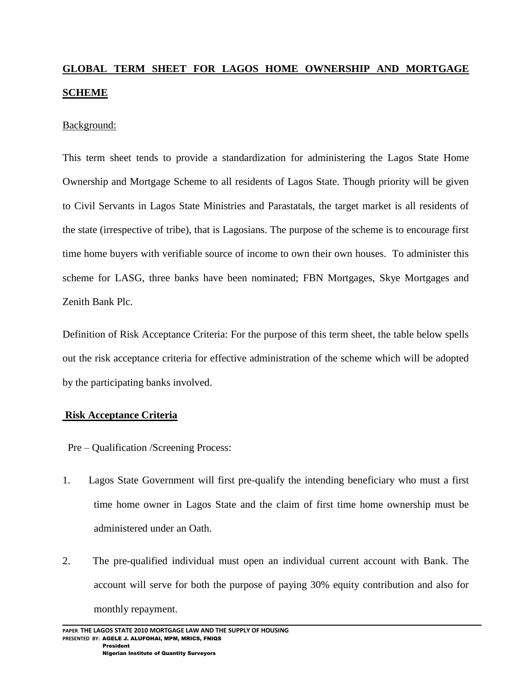# **GLOBAL TERM SHEET FOR LAGOS HOME OWNERSHIP AND MORTGAGE SCHEME**

### Background:

This term sheet tends to provide a standardization for administering the Lagos State Home Ownership and Mortgage Scheme to all residents of Lagos State. Though priority will be given to Civil Servants in Lagos State Ministries and Parastatals, the target market is all residents of the state (irrespective of tribe), that is Lagosians. The purpose of the scheme is to encourage first time home buyers with verifiable source of income to own their own houses. To administer this scheme for LASG, three banks have been nominated; FBN Mortgages, Skye Mortgages and Zenith Bank Plc.

Definition of Risk Acceptance Criteria: For the purpose of this term sheet, the table below spells out the risk acceptance criteria for effective administration of the scheme which will be adopted by the participating banks involved.

# **Risk Acceptance Criteria**

- Pre Qualification /Screening Process:
- 1. Lagos State Government will first pre-qualify the intending beneficiary who must a first time home owner in Lagos State and the claim of first time home ownership must be administered under an Oath.
- 2. The pre-qualified individual must open an individual current account with Bank. The account will serve for both the purpose of paying 30% equity contribution and also for monthly repayment.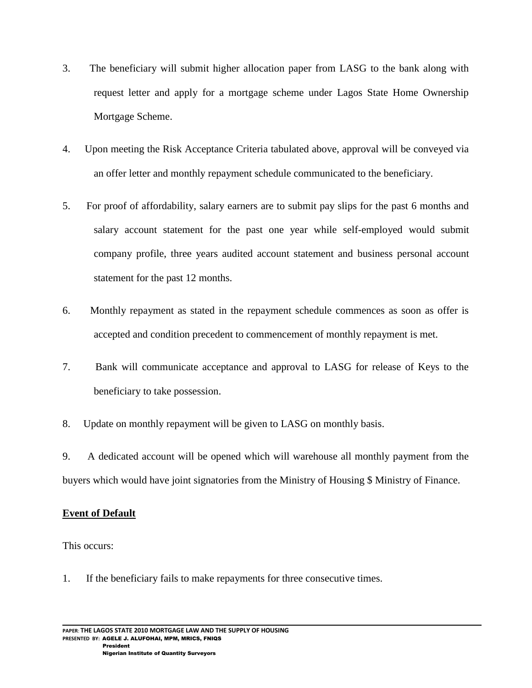- 3. The beneficiary will submit higher allocation paper from LASG to the bank along with request letter and apply for a mortgage scheme under Lagos State Home Ownership Mortgage Scheme.
- 4. Upon meeting the Risk Acceptance Criteria tabulated above, approval will be conveyed via an offer letter and monthly repayment schedule communicated to the beneficiary.
- 5. For proof of affordability, salary earners are to submit pay slips for the past 6 months and salary account statement for the past one year while self-employed would submit company profile, three years audited account statement and business personal account statement for the past 12 months.
- 6. Monthly repayment as stated in the repayment schedule commences as soon as offer is accepted and condition precedent to commencement of monthly repayment is met.
- 7. Bank will communicate acceptance and approval to LASG for release of Keys to the beneficiary to take possession.
- 8. Update on monthly repayment will be given to LASG on monthly basis.

9. A dedicated account will be opened which will warehouse all monthly payment from the buyers which would have joint signatories from the Ministry of Housing \$ Ministry of Finance.

# **Event of Default**

This occurs:

1. If the beneficiary fails to make repayments for three consecutive times.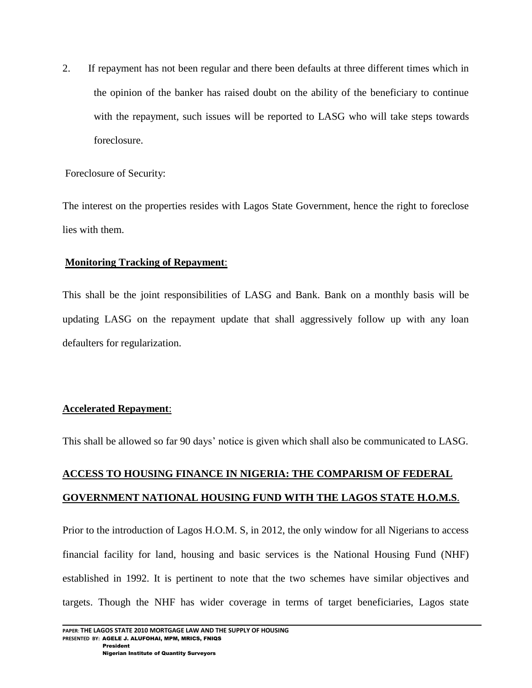2. If repayment has not been regular and there been defaults at three different times which in the opinion of the banker has raised doubt on the ability of the beneficiary to continue with the repayment, such issues will be reported to LASG who will take steps towards foreclosure.

Foreclosure of Security:

The interest on the properties resides with Lagos State Government, hence the right to foreclose lies with them.

### **Monitoring Tracking of Repayment**:

This shall be the joint responsibilities of LASG and Bank. Bank on a monthly basis will be updating LASG on the repayment update that shall aggressively follow up with any loan defaulters for regularization.

# **Accelerated Repayment**:

This shall be allowed so far 90 days" notice is given which shall also be communicated to LASG.

# **ACCESS TO HOUSING FINANCE IN NIGERIA: THE COMPARISM OF FEDERAL GOVERNMENT NATIONAL HOUSING FUND WITH THE LAGOS STATE H.O.M.S**.

Prior to the introduction of Lagos H.O.M. S, in 2012, the only window for all Nigerians to access financial facility for land, housing and basic services is the National Housing Fund (NHF) established in 1992. It is pertinent to note that the two schemes have similar objectives and targets. Though the NHF has wider coverage in terms of target beneficiaries, Lagos state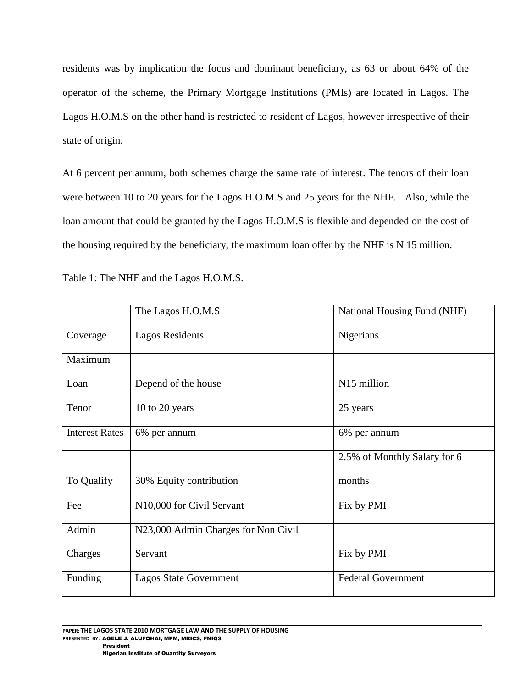residents was by implication the focus and dominant beneficiary, as 63 or about 64% of the operator of the scheme, the Primary Mortgage Institutions (PMIs) are located in Lagos. The Lagos H.O.M.S on the other hand is restricted to resident of Lagos, however irrespective of their state of origin.

At 6 percent per annum, both schemes charge the same rate of interest. The tenors of their loan were between 10 to 20 years for the Lagos H.O.M.S and 25 years for the NHF. Also, while the loan amount that could be granted by the Lagos H.O.M.S is flexible and depended on the cost of the housing required by the beneficiary, the maximum loan offer by the NHF is N 15 million.

|                       | The Lagos H.O.M.S                   | National Housing Fund (NHF)  |
|-----------------------|-------------------------------------|------------------------------|
| Coverage              | <b>Lagos Residents</b>              | Nigerians                    |
| Maximum               |                                     |                              |
| Loan                  | Depend of the house                 | N15 million                  |
| Tenor                 | 10 to 20 years                      | 25 years                     |
| <b>Interest Rates</b> | 6% per annum                        | 6% per annum                 |
|                       |                                     | 2.5% of Monthly Salary for 6 |
| To Qualify            | 30% Equity contribution             | months                       |
| Fee                   | N10,000 for Civil Servant           | Fix by PMI                   |
| Admin                 | N23,000 Admin Charges for Non Civil |                              |
| Charges               | Servant                             | Fix by PMI                   |
| Funding               | <b>Lagos State Government</b>       | <b>Federal Government</b>    |

Table 1: The NHF and the Lagos H.O.M.S.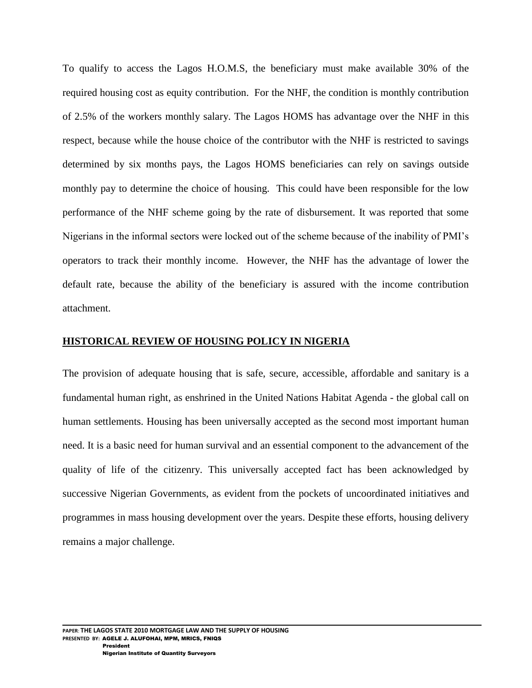To qualify to access the Lagos H.O.M.S, the beneficiary must make available 30% of the required housing cost as equity contribution. For the NHF, the condition is monthly contribution of 2.5% of the workers monthly salary. The Lagos HOMS has advantage over the NHF in this respect, because while the house choice of the contributor with the NHF is restricted to savings determined by six months pays, the Lagos HOMS beneficiaries can rely on savings outside monthly pay to determine the choice of housing. This could have been responsible for the low performance of the NHF scheme going by the rate of disbursement. It was reported that some Nigerians in the informal sectors were locked out of the scheme because of the inability of PMI"s operators to track their monthly income. However, the NHF has the advantage of lower the default rate, because the ability of the beneficiary is assured with the income contribution attachment.

### **HISTORICAL REVIEW OF HOUSING POLICY IN NIGERIA**

The provision of adequate housing that is safe, secure, accessible, affordable and sanitary is a fundamental human right, as enshrined in the United Nations Habitat Agenda - the global call on human settlements. Housing has been universally accepted as the second most important human need. It is a basic need for human survival and an essential component to the advancement of the quality of life of the citizenry. This universally accepted fact has been acknowledged by successive Nigerian Governments, as evident from the pockets of uncoordinated initiatives and programmes in mass housing development over the years. Despite these efforts, housing delivery remains a major challenge.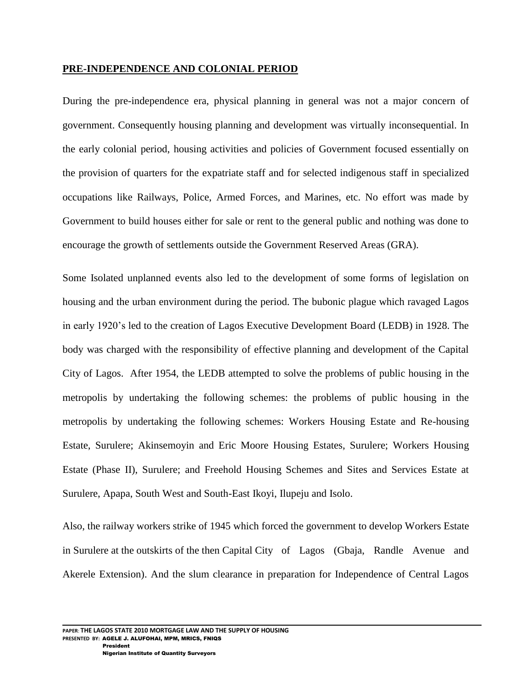#### **PRE-INDEPENDENCE AND COLONIAL PERIOD**

During the pre-independence era, physical planning in general was not a major concern of government. Consequently housing planning and development was virtually inconsequential. In the early colonial period, housing activities and policies of Government focused essentially on the provision of quarters for the expatriate staff and for selected indigenous staff in specialized occupations like Railways, Police, Armed Forces, and Marines, etc. No effort was made by Government to build houses either for sale or rent to the general public and nothing was done to encourage the growth of settlements outside the Government Reserved Areas (GRA).

Some Isolated unplanned events also led to the development of some forms of legislation on housing and the urban environment during the period. The bubonic plague which ravaged Lagos in early 1920"s led to the creation of Lagos Executive Development Board (LEDB) in 1928. The body was charged with the responsibility of effective planning and development of the Capital City of Lagos. After 1954, the LEDB attempted to solve the problems of public housing in the metropolis by undertaking the following schemes: the problems of public housing in the metropolis by undertaking the following schemes: Workers Housing Estate and Re-housing Estate, Surulere; Akinsemoyin and Eric Moore Housing Estates, Surulere; Workers Housing Estate (Phase II), Surulere; and Freehold Housing Schemes and Sites and Services Estate at Surulere, Apapa, South West and South-East Ikoyi, Ilupeju and Isolo.

Also, the railway workers strike of 1945 which forced the government to develop Workers Estate in Surulere at the outskirts of the then Capital City of Lagos (Gbaja, Randle Avenue and Akerele Extension). And the slum clearance in preparation for Independence of Central Lagos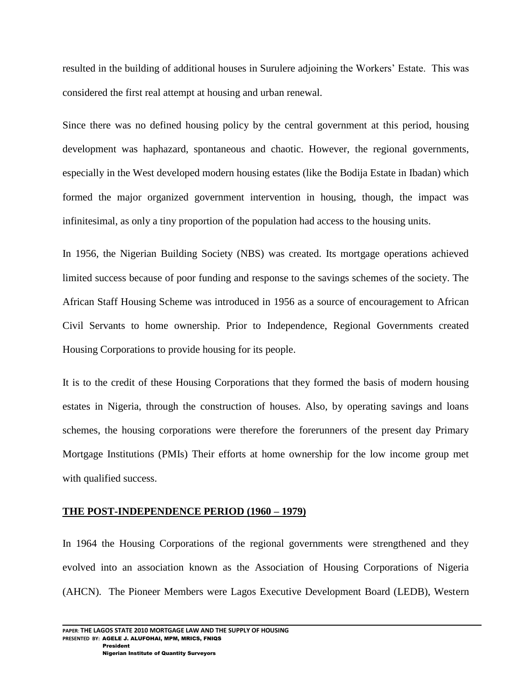resulted in the building of additional houses in Surulere adjoining the Workers" Estate. This was considered the first real attempt at housing and urban renewal.

Since there was no defined housing policy by the central government at this period, housing development was haphazard, spontaneous and chaotic. However, the regional governments, especially in the West developed modern housing estates (like the Bodija Estate in Ibadan) which formed the major organized government intervention in housing, though, the impact was infinitesimal, as only a tiny proportion of the population had access to the housing units.

In 1956, the Nigerian Building Society (NBS) was created. Its mortgage operations achieved limited success because of poor funding and response to the savings schemes of the society. The African Staff Housing Scheme was introduced in 1956 as a source of encouragement to African Civil Servants to home ownership. Prior to Independence, Regional Governments created Housing Corporations to provide housing for its people.

It is to the credit of these Housing Corporations that they formed the basis of modern housing estates in Nigeria, through the construction of houses. Also, by operating savings and loans schemes, the housing corporations were therefore the forerunners of the present day Primary Mortgage Institutions (PMIs) Their efforts at home ownership for the low income group met with qualified success.

### **THE POST-INDEPENDENCE PERIOD (1960 – 1979)**

In 1964 the Housing Corporations of the regional governments were strengthened and they evolved into an association known as the Association of Housing Corporations of Nigeria (AHCN). The Pioneer Members were Lagos Executive Development Board (LEDB), Western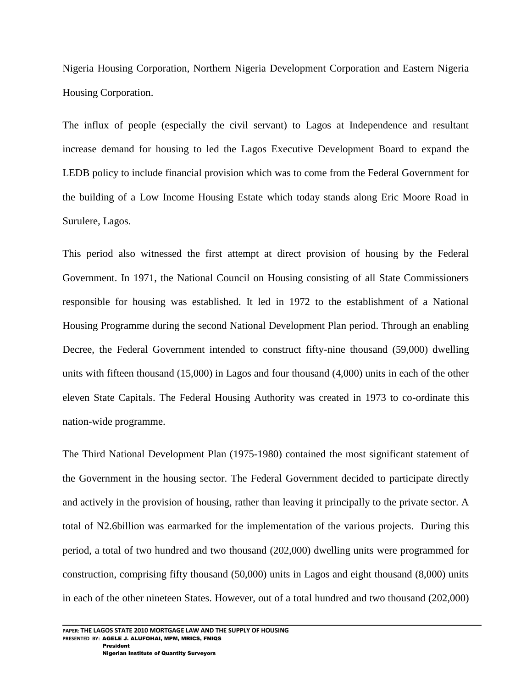Nigeria Housing Corporation, Northern Nigeria Development Corporation and Eastern Nigeria Housing Corporation.

The influx of people (especially the civil servant) to Lagos at Independence and resultant increase demand for housing to led the Lagos Executive Development Board to expand the LEDB policy to include financial provision which was to come from the Federal Government for the building of a Low Income Housing Estate which today stands along Eric Moore Road in Surulere, Lagos.

This period also witnessed the first attempt at direct provision of housing by the Federal Government. In 1971, the National Council on Housing consisting of all State Commissioners responsible for housing was established. It led in 1972 to the establishment of a National Housing Programme during the second National Development Plan period. Through an enabling Decree, the Federal Government intended to construct fifty-nine thousand (59,000) dwelling units with fifteen thousand (15,000) in Lagos and four thousand (4,000) units in each of the other eleven State Capitals. The Federal Housing Authority was created in 1973 to co-ordinate this nation-wide programme.

The Third National Development Plan (1975-1980) contained the most significant statement of the Government in the housing sector. The Federal Government decided to participate directly and actively in the provision of housing, rather than leaving it principally to the private sector. A total of N2.6billion was earmarked for the implementation of the various projects. During this period, a total of two hundred and two thousand (202,000) dwelling units were programmed for construction, comprising fifty thousand (50,000) units in Lagos and eight thousand (8,000) units in each of the other nineteen States. However, out of a total hundred and two thousand (202,000)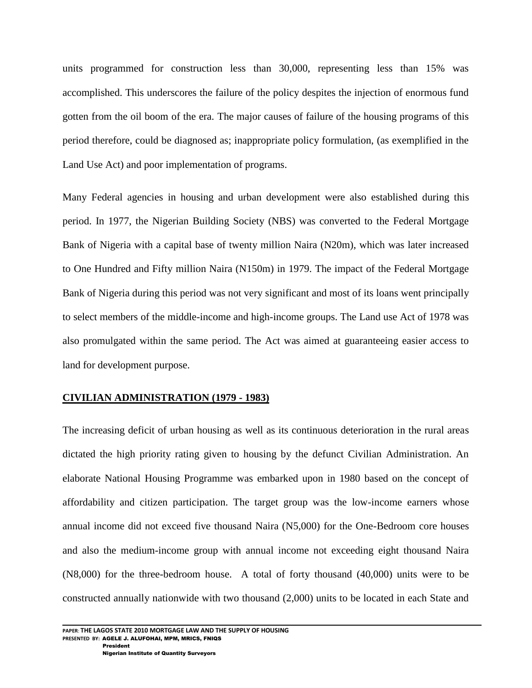units programmed for construction less than 30,000, representing less than 15% was accomplished. This underscores the failure of the policy despites the injection of enormous fund gotten from the oil boom of the era. The major causes of failure of the housing programs of this period therefore, could be diagnosed as; inappropriate policy formulation, (as exemplified in the Land Use Act) and poor implementation of programs.

Many Federal agencies in housing and urban development were also established during this period. In 1977, the Nigerian Building Society (NBS) was converted to the Federal Mortgage Bank of Nigeria with a capital base of twenty million Naira (N20m), which was later increased to One Hundred and Fifty million Naira (N150m) in 1979. The impact of the Federal Mortgage Bank of Nigeria during this period was not very significant and most of its loans went principally to select members of the middle-income and high-income groups. The Land use Act of 1978 was also promulgated within the same period. The Act was aimed at guaranteeing easier access to land for development purpose.

### **CIVILIAN ADMINISTRATION (1979 - 1983)**

The increasing deficit of urban housing as well as its continuous deterioration in the rural areas dictated the high priority rating given to housing by the defunct Civilian Administration. An elaborate National Housing Programme was embarked upon in 1980 based on the concept of affordability and citizen participation. The target group was the low-income earners whose annual income did not exceed five thousand Naira (N5,000) for the One-Bedroom core houses and also the medium-income group with annual income not exceeding eight thousand Naira (N8,000) for the three-bedroom house. A total of forty thousand (40,000) units were to be constructed annually nationwide with two thousand (2,000) units to be located in each State and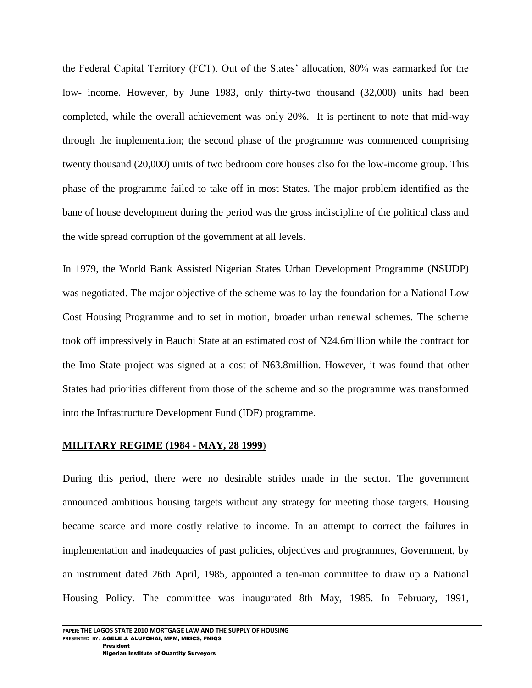the Federal Capital Territory (FCT). Out of the States" allocation, 80% was earmarked for the low- income. However, by June 1983, only thirty-two thousand (32,000) units had been completed, while the overall achievement was only 20%. It is pertinent to note that mid-way through the implementation; the second phase of the programme was commenced comprising twenty thousand (20,000) units of two bedroom core houses also for the low-income group. This phase of the programme failed to take off in most States. The major problem identified as the bane of house development during the period was the gross indiscipline of the political class and the wide spread corruption of the government at all levels.

In 1979, the World Bank Assisted Nigerian States Urban Development Programme (NSUDP) was negotiated. The major objective of the scheme was to lay the foundation for a National Low Cost Housing Programme and to set in motion, broader urban renewal schemes. The scheme took off impressively in Bauchi State at an estimated cost of N24.6million while the contract for the Imo State project was signed at a cost of N63.8million. However, it was found that other States had priorities different from those of the scheme and so the programme was transformed into the Infrastructure Development Fund (IDF) programme.

### **MILITARY REGIME (1984 - MAY, 28 1999**)

During this period, there were no desirable strides made in the sector. The government announced ambitious housing targets without any strategy for meeting those targets. Housing became scarce and more costly relative to income. In an attempt to correct the failures in implementation and inadequacies of past policies, objectives and programmes, Government, by an instrument dated 26th April, 1985, appointed a ten-man committee to draw up a National Housing Policy. The committee was inaugurated 8th May, 1985. In February, 1991,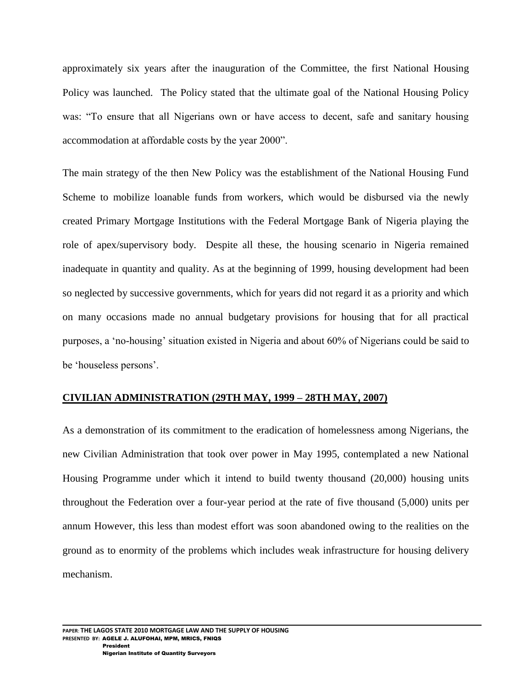approximately six years after the inauguration of the Committee, the first National Housing Policy was launched. The Policy stated that the ultimate goal of the National Housing Policy was: "To ensure that all Nigerians own or have access to decent, safe and sanitary housing accommodation at affordable costs by the year 2000".

The main strategy of the then New Policy was the establishment of the National Housing Fund Scheme to mobilize loanable funds from workers, which would be disbursed via the newly created Primary Mortgage Institutions with the Federal Mortgage Bank of Nigeria playing the role of apex/supervisory body. Despite all these, the housing scenario in Nigeria remained inadequate in quantity and quality. As at the beginning of 1999, housing development had been so neglected by successive governments, which for years did not regard it as a priority and which on many occasions made no annual budgetary provisions for housing that for all practical purposes, a "no-housing" situation existed in Nigeria and about 60% of Nigerians could be said to be "houseless persons".

### **CIVILIAN ADMINISTRATION (29TH MAY, 1999 – 28TH MAY, 2007)**

As a demonstration of its commitment to the eradication of homelessness among Nigerians, the new Civilian Administration that took over power in May 1995, contemplated a new National Housing Programme under which it intend to build twenty thousand (20,000) housing units throughout the Federation over a four-year period at the rate of five thousand (5,000) units per annum However, this less than modest effort was soon abandoned owing to the realities on the ground as to enormity of the problems which includes weak infrastructure for housing delivery mechanism.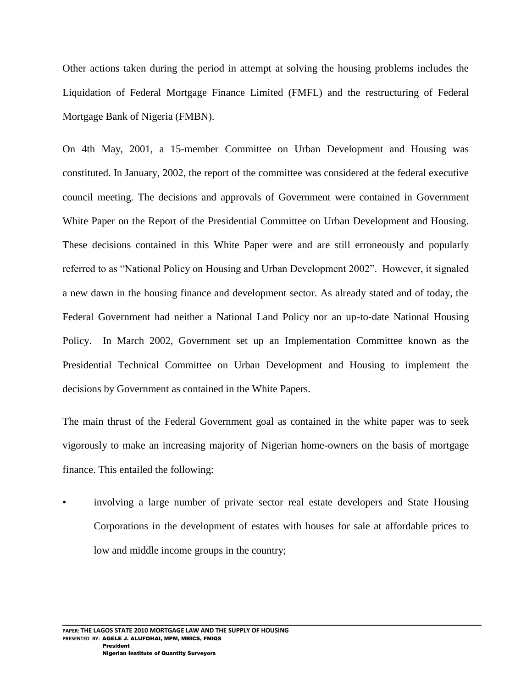Other actions taken during the period in attempt at solving the housing problems includes the Liquidation of Federal Mortgage Finance Limited (FMFL) and the restructuring of Federal Mortgage Bank of Nigeria (FMBN).

On 4th May, 2001, a 15-member Committee on Urban Development and Housing was constituted. In January, 2002, the report of the committee was considered at the federal executive council meeting. The decisions and approvals of Government were contained in Government White Paper on the Report of the Presidential Committee on Urban Development and Housing. These decisions contained in this White Paper were and are still erroneously and popularly referred to as "National Policy on Housing and Urban Development 2002". However, it signaled a new dawn in the housing finance and development sector. As already stated and of today, the Federal Government had neither a National Land Policy nor an up-to-date National Housing Policy. In March 2002, Government set up an Implementation Committee known as the Presidential Technical Committee on Urban Development and Housing to implement the decisions by Government as contained in the White Papers.

The main thrust of the Federal Government goal as contained in the white paper was to seek vigorously to make an increasing majority of Nigerian home-owners on the basis of mortgage finance. This entailed the following:

• involving a large number of private sector real estate developers and State Housing Corporations in the development of estates with houses for sale at affordable prices to low and middle income groups in the country;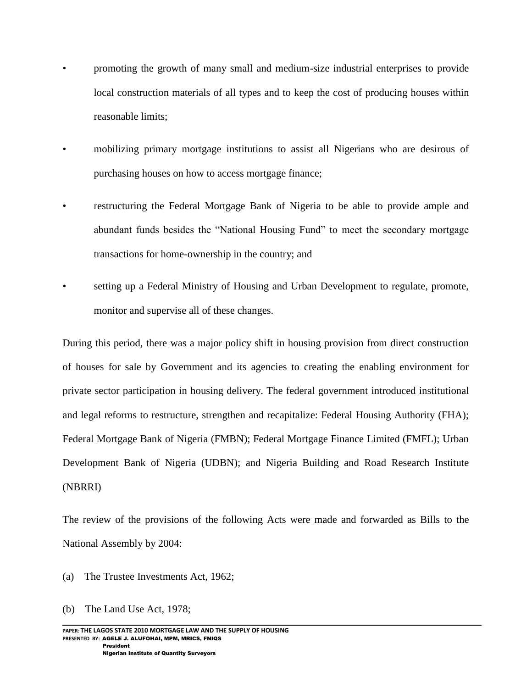- promoting the growth of many small and medium-size industrial enterprises to provide local construction materials of all types and to keep the cost of producing houses within reasonable limits;
- mobilizing primary mortgage institutions to assist all Nigerians who are desirous of purchasing houses on how to access mortgage finance;
- restructuring the Federal Mortgage Bank of Nigeria to be able to provide ample and abundant funds besides the "National Housing Fund" to meet the secondary mortgage transactions for home-ownership in the country; and
- setting up a Federal Ministry of Housing and Urban Development to regulate, promote, monitor and supervise all of these changes.

During this period, there was a major policy shift in housing provision from direct construction of houses for sale by Government and its agencies to creating the enabling environment for private sector participation in housing delivery. The federal government introduced institutional and legal reforms to restructure, strengthen and recapitalize: Federal Housing Authority (FHA); Federal Mortgage Bank of Nigeria (FMBN); Federal Mortgage Finance Limited (FMFL); Urban Development Bank of Nigeria (UDBN); and Nigeria Building and Road Research Institute (NBRRI)

The review of the provisions of the following Acts were made and forwarded as Bills to the National Assembly by 2004:

- (a) The Trustee Investments Act, 1962;
- (b) The Land Use Act, 1978;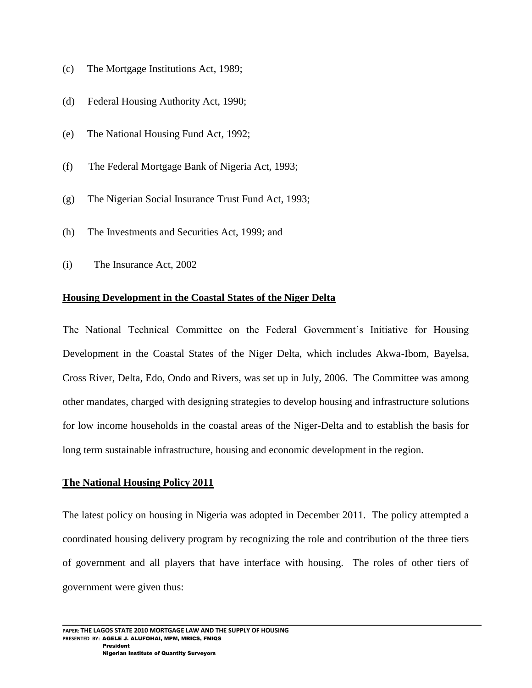- (c) The Mortgage Institutions Act, 1989;
- (d) Federal Housing Authority Act, 1990;
- (e) The National Housing Fund Act, 1992;
- (f) The Federal Mortgage Bank of Nigeria Act, 1993;
- (g) The Nigerian Social Insurance Trust Fund Act, 1993;
- (h) The Investments and Securities Act, 1999; and
- (i) The Insurance Act, 2002

### **Housing Development in the Coastal States of the Niger Delta**

The National Technical Committee on the Federal Government's Initiative for Housing Development in the Coastal States of the Niger Delta, which includes Akwa-Ibom, Bayelsa, Cross River, Delta, Edo, Ondo and Rivers, was set up in July, 2006. The Committee was among other mandates, charged with designing strategies to develop housing and infrastructure solutions for low income households in the coastal areas of the Niger-Delta and to establish the basis for long term sustainable infrastructure, housing and economic development in the region.

### **The National Housing Policy 2011**

The latest policy on housing in Nigeria was adopted in December 2011. The policy attempted a coordinated housing delivery program by recognizing the role and contribution of the three tiers of government and all players that have interface with housing. The roles of other tiers of government were given thus: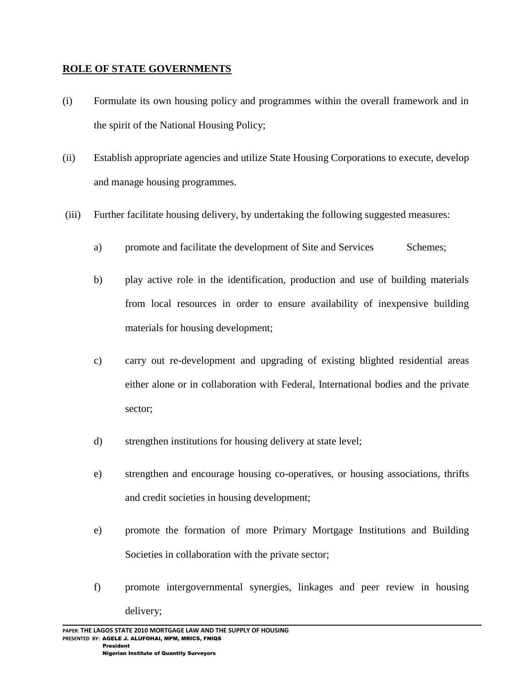### **ROLE OF STATE GOVERNMENTS**

- (i) Formulate its own housing policy and programmes within the overall framework and in the spirit of the National Housing Policy;
- (ii) Establish appropriate agencies and utilize State Housing Corporations to execute, develop and manage housing programmes.
- (iii) Further facilitate housing delivery, by undertaking the following suggested measures:
	- a) promote and facilitate the development of Site and Services Schemes;
	- b) play active role in the identification, production and use of building materials from local resources in order to ensure availability of inexpensive building materials for housing development;
	- c) carry out re-development and upgrading of existing blighted residential areas either alone or in collaboration with Federal, International bodies and the private sector;
	- d) strengthen institutions for housing delivery at state level;
	- e) strengthen and encourage housing co-operatives, or housing associations, thrifts and credit societies in housing development;
	- e) promote the formation of more Primary Mortgage Institutions and Building Societies in collaboration with the private sector;
	- f) promote intergovernmental synergies, linkages and peer review in housing delivery;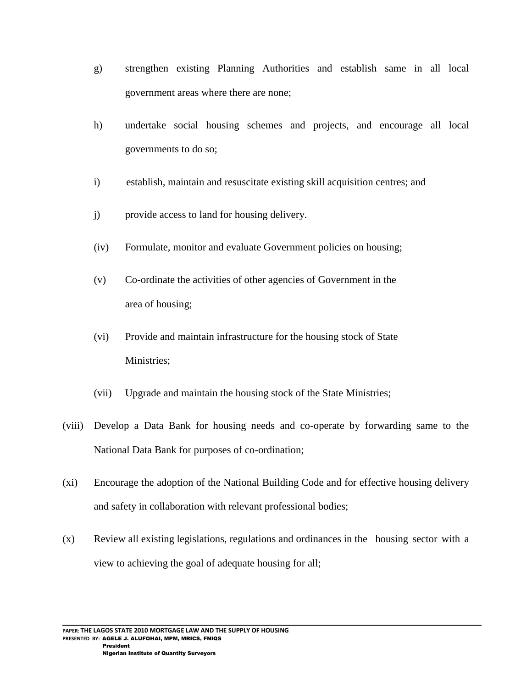- g) strengthen existing Planning Authorities and establish same in all local government areas where there are none;
- h) undertake social housing schemes and projects, and encourage all local governments to do so;
- i) establish, maintain and resuscitate existing skill acquisition centres; and
- j) provide access to land for housing delivery.
- (iv) Formulate, monitor and evaluate Government policies on housing;
- (v) Co-ordinate the activities of other agencies of Government in the area of housing;
- (vi) Provide and maintain infrastructure for the housing stock of State Ministries;
- (vii) Upgrade and maintain the housing stock of the State Ministries;
- (viii) Develop a Data Bank for housing needs and co-operate by forwarding same to the National Data Bank for purposes of co-ordination;
- (xi) Encourage the adoption of the National Building Code and for effective housing delivery and safety in collaboration with relevant professional bodies;
- (x) Review all existing legislations, regulations and ordinances in the housing sector with a view to achieving the goal of adequate housing for all;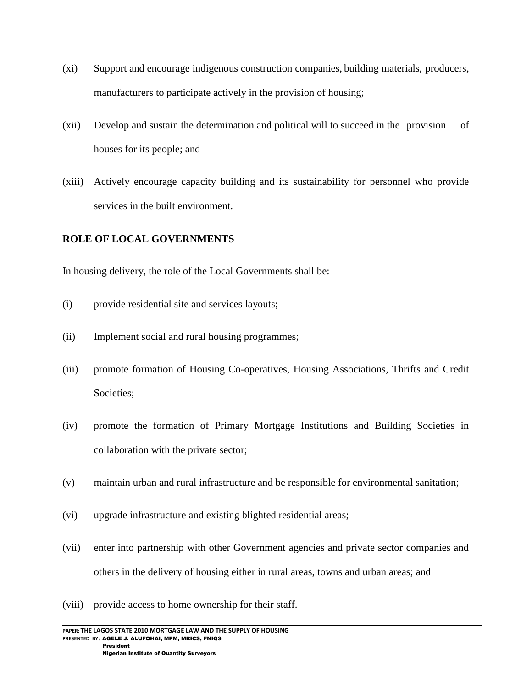- (xi) Support and encourage indigenous construction companies, building materials, producers, manufacturers to participate actively in the provision of housing;
- (xii) Develop and sustain the determination and political will to succeed in the provision of houses for its people; and
- (xiii) Actively encourage capacity building and its sustainability for personnel who provide services in the built environment.

# **ROLE OF LOCAL GOVERNMENTS**

In housing delivery, the role of the Local Governments shall be:

- (i) provide residential site and services layouts;
- (ii) Implement social and rural housing programmes;
- (iii) promote formation of Housing Co-operatives, Housing Associations, Thrifts and Credit Societies;
- (iv) promote the formation of Primary Mortgage Institutions and Building Societies in collaboration with the private sector;
- (v) maintain urban and rural infrastructure and be responsible for environmental sanitation;
- (vi) upgrade infrastructure and existing blighted residential areas;
- (vii) enter into partnership with other Government agencies and private sector companies and others in the delivery of housing either in rural areas, towns and urban areas; and
- (viii) provide access to home ownership for their staff.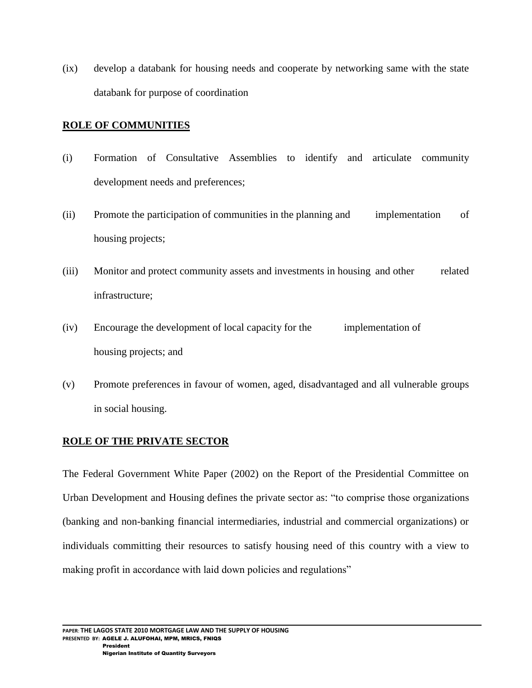(ix) develop a databank for housing needs and cooperate by networking same with the state databank for purpose of coordination

### **ROLE OF COMMUNITIES**

- (i) Formation of Consultative Assemblies to identify and articulate community development needs and preferences;
- (ii) Promote the participation of communities in the planning and implementation of housing projects;
- (iii) Monitor and protect community assets and investments in housing and other related infrastructure;
- (iv) Encourage the development of local capacity for the implementation of housing projects; and
- (v) Promote preferences in favour of women, aged, disadvantaged and all vulnerable groups in social housing.

# **ROLE OF THE PRIVATE SECTOR**

The Federal Government White Paper (2002) on the Report of the Presidential Committee on Urban Development and Housing defines the private sector as: "to comprise those organizations (banking and non-banking financial intermediaries, industrial and commercial organizations) or individuals committing their resources to satisfy housing need of this country with a view to making profit in accordance with laid down policies and regulations"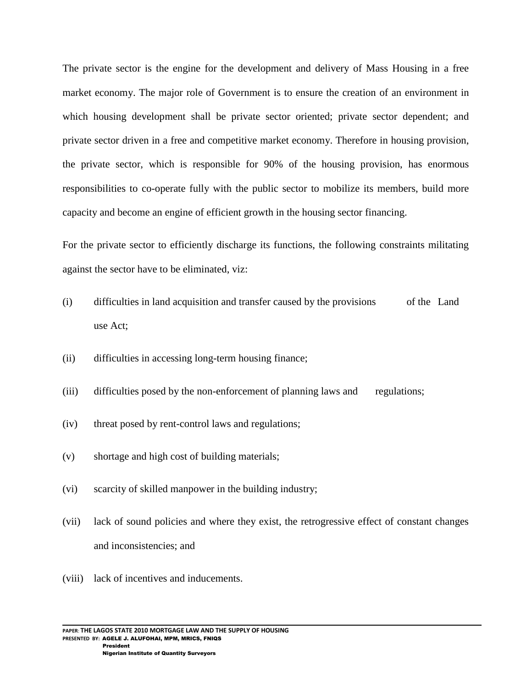The private sector is the engine for the development and delivery of Mass Housing in a free market economy. The major role of Government is to ensure the creation of an environment in which housing development shall be private sector oriented; private sector dependent; and private sector driven in a free and competitive market economy. Therefore in housing provision, the private sector, which is responsible for 90% of the housing provision, has enormous responsibilities to co-operate fully with the public sector to mobilize its members, build more capacity and become an engine of efficient growth in the housing sector financing.

For the private sector to efficiently discharge its functions, the following constraints militating against the sector have to be eliminated, viz:

- (i) difficulties in land acquisition and transfer caused by the provisions of the Land use Act;
- (ii) difficulties in accessing long-term housing finance;
- (iii) difficulties posed by the non-enforcement of planning laws and regulations;
- (iv) threat posed by rent-control laws and regulations;
- (v) shortage and high cost of building materials;
- (vi) scarcity of skilled manpower in the building industry;
- (vii) lack of sound policies and where they exist, the retrogressive effect of constant changes and inconsistencies; and
- (viii) lack of incentives and inducements.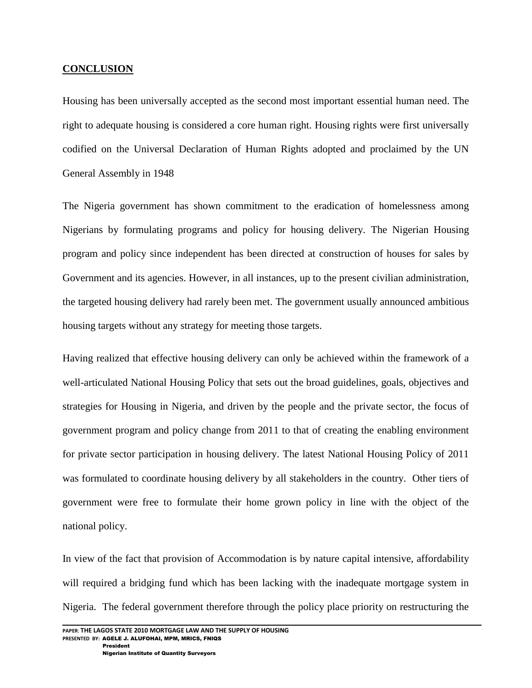### **CONCLUSION**

Housing has been universally accepted as the second most important essential human need. The right to adequate housing is considered a core human right. Housing rights were first universally codified on the Universal Declaration of Human Rights adopted and proclaimed by the UN General Assembly in 1948

The Nigeria government has shown commitment to the eradication of homelessness among Nigerians by formulating programs and policy for housing delivery. The Nigerian Housing program and policy since independent has been directed at construction of houses for sales by Government and its agencies. However, in all instances, up to the present civilian administration, the targeted housing delivery had rarely been met. The government usually announced ambitious housing targets without any strategy for meeting those targets.

Having realized that effective housing delivery can only be achieved within the framework of a well-articulated National Housing Policy that sets out the broad guidelines, goals, objectives and strategies for Housing in Nigeria, and driven by the people and the private sector, the focus of government program and policy change from 2011 to that of creating the enabling environment for private sector participation in housing delivery. The latest National Housing Policy of 2011 was formulated to coordinate housing delivery by all stakeholders in the country. Other tiers of government were free to formulate their home grown policy in line with the object of the national policy.

In view of the fact that provision of Accommodation is by nature capital intensive, affordability will required a bridging fund which has been lacking with the inadequate mortgage system in Nigeria. The federal government therefore through the policy place priority on restructuring the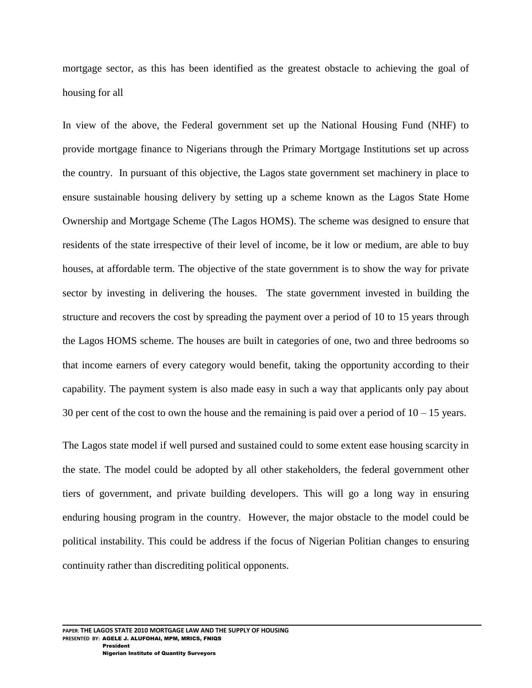mortgage sector, as this has been identified as the greatest obstacle to achieving the goal of housing for all

In view of the above, the Federal government set up the National Housing Fund (NHF) to provide mortgage finance to Nigerians through the Primary Mortgage Institutions set up across the country. In pursuant of this objective, the Lagos state government set machinery in place to ensure sustainable housing delivery by setting up a scheme known as the Lagos State Home Ownership and Mortgage Scheme (The Lagos HOMS). The scheme was designed to ensure that residents of the state irrespective of their level of income, be it low or medium, are able to buy houses, at affordable term. The objective of the state government is to show the way for private sector by investing in delivering the houses. The state government invested in building the structure and recovers the cost by spreading the payment over a period of 10 to 15 years through the Lagos HOMS scheme. The houses are built in categories of one, two and three bedrooms so that income earners of every category would benefit, taking the opportunity according to their capability. The payment system is also made easy in such a way that applicants only pay about 30 per cent of the cost to own the house and the remaining is paid over a period of  $10 - 15$  years.

The Lagos state model if well pursed and sustained could to some extent ease housing scarcity in the state. The model could be adopted by all other stakeholders, the federal government other tiers of government, and private building developers. This will go a long way in ensuring enduring housing program in the country. However, the major obstacle to the model could be political instability. This could be address if the focus of Nigerian Politian changes to ensuring continuity rather than discrediting political opponents.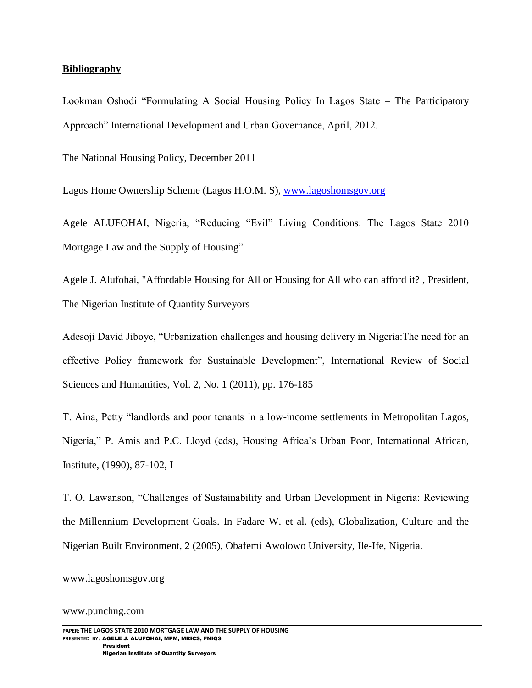### **Bibliography**

Lookman Oshodi "Formulating A Social Housing Policy In Lagos State – The Participatory Approach" International Development and Urban Governance, April, 2012.

The National Housing Policy, December 2011

Lagos Home Ownership Scheme (Lagos H.O.M. S), [www.lagoshomsgov.org](http://www.lagoshomsgov.org/) 

Agele ALUFOHAI, Nigeria, "Reducing "Evil" Living Conditions: The Lagos State 2010 Mortgage Law and the Supply of Housing"

Agele J. Alufohai, "Affordable Housing for All or Housing for All who can afford it? , President, The Nigerian Institute of Quantity Surveyors

Adesoji David Jiboye, "Urbanization challenges and housing delivery in Nigeria:The need for an effective Policy framework for Sustainable Development", International Review of Social Sciences and Humanities, Vol. 2, No. 1 (2011), pp. 176-185

T. Aina, Petty "landlords and poor tenants in a low-income settlements in Metropolitan Lagos, Nigeria," P. Amis and P.C. Lloyd (eds), Housing Africa"s Urban Poor, International African, Institute, (1990), 87-102, I

T. O. Lawanson, "Challenges of Sustainability and Urban Development in Nigeria: Reviewing the Millennium Development Goals. In Fadare W. et al. (eds), Globalization, Culture and the Nigerian Built Environment, 2 (2005), Obafemi Awolowo University, Ile-Ife, Nigeria.

[www.lagoshomsgov.org](http://www.lagoshomsgov.org/)

#### [www.punchng.com](http://www.punchng.com/)